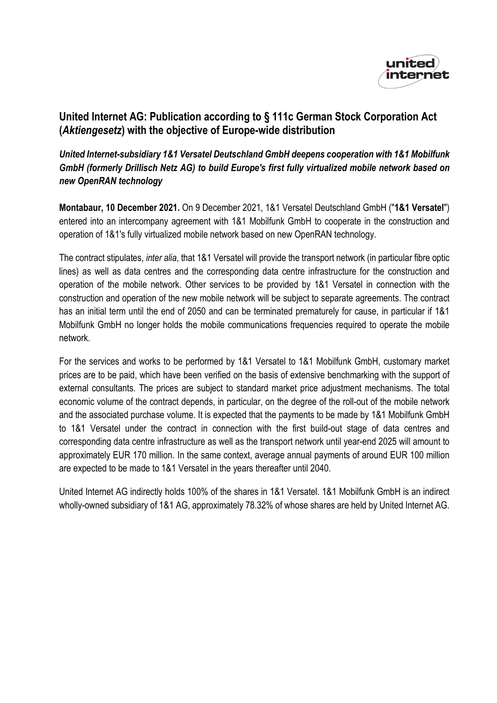

## **United Internet AG: Publication according to § 111c German Stock Corporation Act (***Aktiengesetz***) with the objective of Europe-wide distribution**

## *United Internet-subsidiary 1&1 Versatel Deutschland GmbH deepens cooperation with 1&1 Mobilfunk GmbH (formerly Drillisch Netz AG) to build Europe's first fully virtualized mobile network based on new OpenRAN technology*

**Montabaur, 10 December 2021.** On 9 December 2021, 1&1 Versatel Deutschland GmbH ("**1&1 Versatel**") entered into an intercompany agreement with 1&1 Mobilfunk GmbH to cooperate in the construction and operation of 1&1's fully virtualized mobile network based on new OpenRAN technology.

The contract stipulates, *inter alia*, that 1&1 Versatel will provide the transport network (in particular fibre optic lines) as well as data centres and the corresponding data centre infrastructure for the construction and operation of the mobile network. Other services to be provided by 1&1 Versatel in connection with the construction and operation of the new mobile network will be subject to separate agreements. The contract has an initial term until the end of 2050 and can be terminated prematurely for cause, in particular if 1&1 Mobilfunk GmbH no longer holds the mobile communications frequencies required to operate the mobile network.

For the services and works to be performed by 1&1 Versatel to 1&1 Mobilfunk GmbH, customary market prices are to be paid, which have been verified on the basis of extensive benchmarking with the support of external consultants. The prices are subject to standard market price adjustment mechanisms. The total economic volume of the contract depends, in particular, on the degree of the roll-out of the mobile network and the associated purchase volume. It is expected that the payments to be made by 1&1 Mobilfunk GmbH to 1&1 Versatel under the contract in connection with the first build-out stage of data centres and corresponding data centre infrastructure as well as the transport network until year-end 2025 will amount to approximately EUR 170 million. In the same context, average annual payments of around EUR 100 million are expected to be made to 1&1 Versatel in the years thereafter until 2040.

United Internet AG indirectly holds 100% of the shares in 1&1 Versatel. 1&1 Mobilfunk GmbH is an indirect wholly-owned subsidiary of 1&1 AG, approximately 78.32% of whose shares are held by United Internet AG.